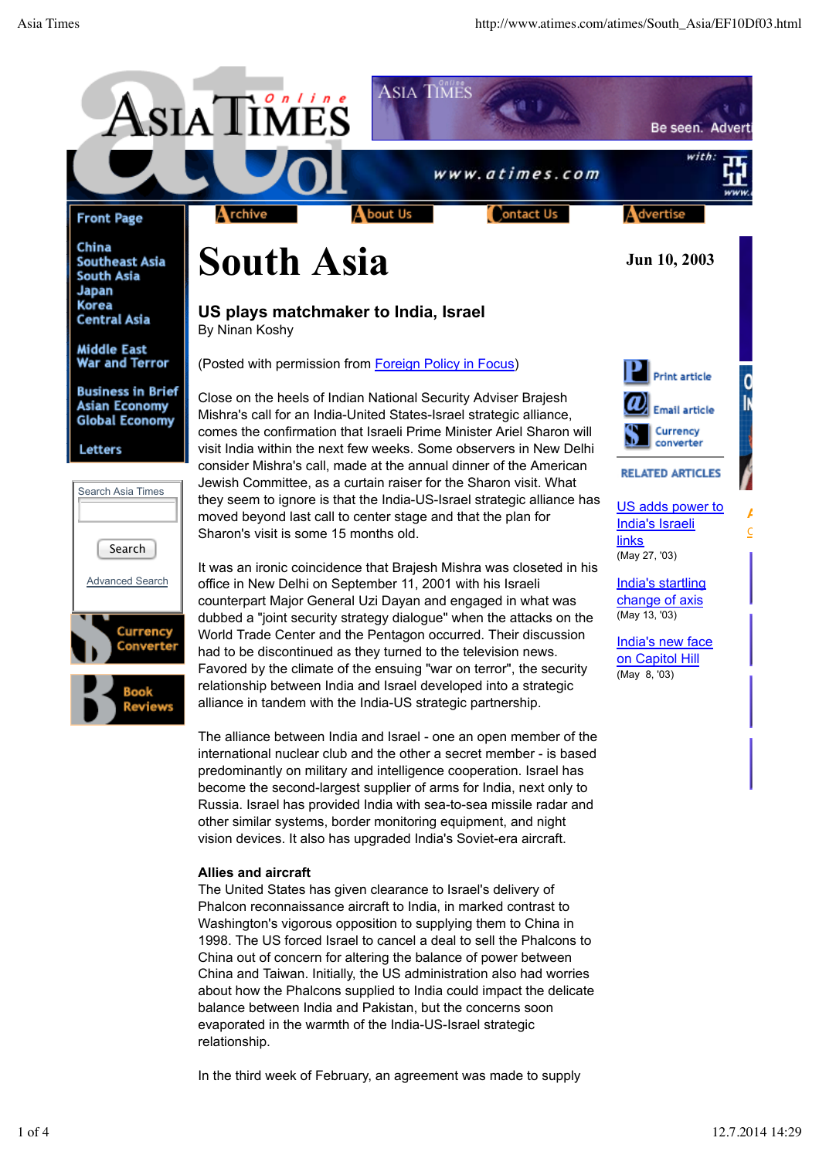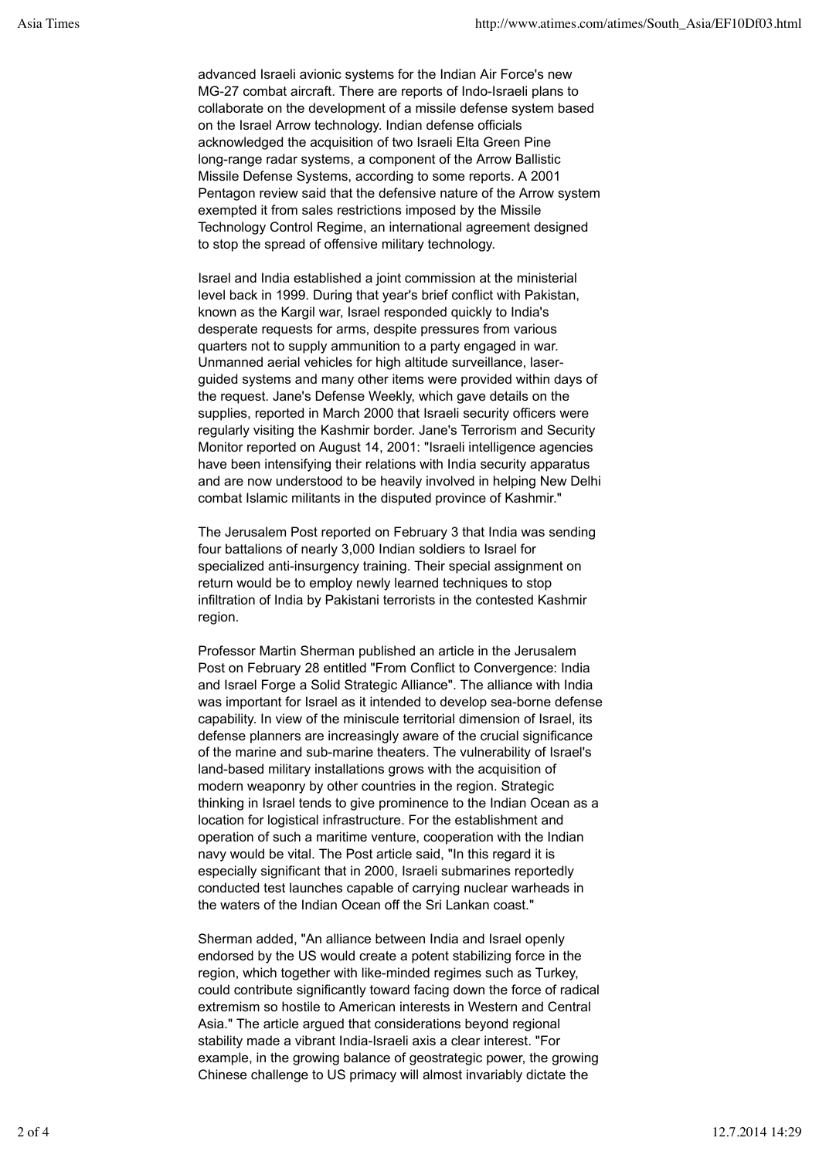advanced Israeli avionic systems for the Indian Air Force's new MG-27 combat aircraft. There are reports of Indo-Israeli plans to collaborate on the development of a missile defense system based on the Israel Arrow technology. Indian defense officials acknowledged the acquisition of two Israeli Elta Green Pine long-range radar systems, a component of the Arrow Ballistic Missile Defense Systems, according to some reports. A 2001 Pentagon review said that the defensive nature of the Arrow system exempted it from sales restrictions imposed by the Missile Technology Control Regime, an international agreement designed to stop the spread of offensive military technology.

Israel and India established a joint commission at the ministerial level back in 1999. During that year's brief conflict with Pakistan, known as the Kargil war, Israel responded quickly to India's desperate requests for arms, despite pressures from various quarters not to supply ammunition to a party engaged in war. Unmanned aerial vehicles for high altitude surveillance, laserguided systems and many other items were provided within days of the request. Jane's Defense Weekly, which gave details on the supplies, reported in March 2000 that Israeli security officers were regularly visiting the Kashmir border. Jane's Terrorism and Security Monitor reported on August 14, 2001: "Israeli intelligence agencies have been intensifying their relations with India security apparatus and are now understood to be heavily involved in helping New Delhi combat Islamic militants in the disputed province of Kashmir."

The Jerusalem Post reported on February 3 that India was sending four battalions of nearly 3,000 Indian soldiers to Israel for specialized anti-insurgency training. Their special assignment on return would be to employ newly learned techniques to stop infiltration of India by Pakistani terrorists in the contested Kashmir region.

Professor Martin Sherman published an article in the Jerusalem Post on February 28 entitled "From Conflict to Convergence: India and Israel Forge a Solid Strategic Alliance". The alliance with India was important for Israel as it intended to develop sea-borne defense capability. In view of the miniscule territorial dimension of Israel, its defense planners are increasingly aware of the crucial significance of the marine and sub-marine theaters. The vulnerability of Israel's land-based military installations grows with the acquisition of modern weaponry by other countries in the region. Strategic thinking in Israel tends to give prominence to the Indian Ocean as a location for logistical infrastructure. For the establishment and operation of such a maritime venture, cooperation with the Indian navy would be vital. The Post article said, "In this regard it is especially significant that in 2000, Israeli submarines reportedly conducted test launches capable of carrying nuclear warheads in the waters of the Indian Ocean off the Sri Lankan coast."

Sherman added, "An alliance between India and Israel openly endorsed by the US would create a potent stabilizing force in the region, which together with like-minded regimes such as Turkey, could contribute significantly toward facing down the force of radical extremism so hostile to American interests in Western and Central Asia." The article argued that considerations beyond regional stability made a vibrant India-Israeli axis a clear interest. "For example, in the growing balance of geostrategic power, the growing Chinese challenge to US primacy will almost invariably dictate the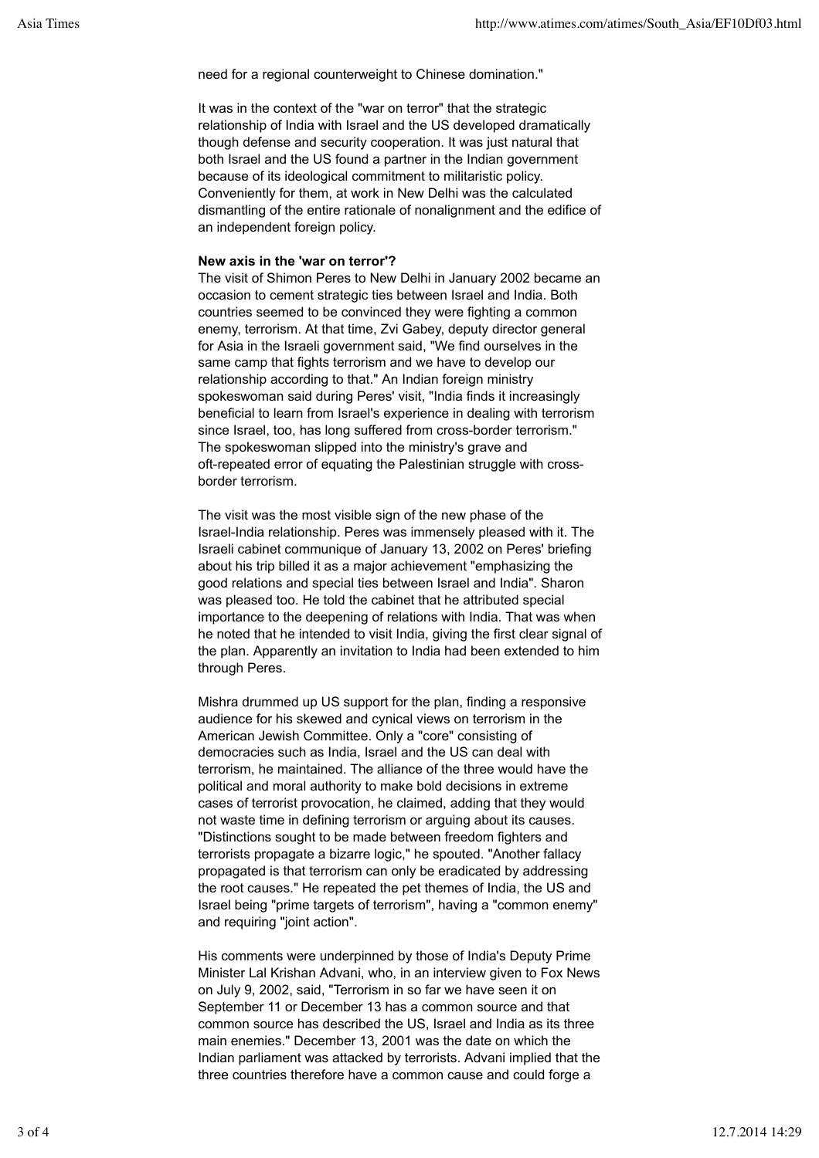need for a regional counterweight to Chinese domination."

It was in the context of the "war on terror" that the strategic relationship of India with Israel and the US developed dramatically though defense and security cooperation. It was just natural that both Israel and the US found a partner in the Indian government because of its ideological commitment to militaristic policy. Conveniently for them, at work in New Delhi was the calculated dismantling of the entire rationale of nonalignment and the edifice of an independent foreign policy.

## **New axis in the 'war on terror'?**

The visit of Shimon Peres to New Delhi in January 2002 became an occasion to cement strategic ties between Israel and India. Both countries seemed to be convinced they were fighting a common enemy, terrorism. At that time, Zvi Gabey, deputy director general for Asia in the Israeli government said, "We find ourselves in the same camp that fights terrorism and we have to develop our relationship according to that." An Indian foreign ministry spokeswoman said during Peres' visit, "India finds it increasingly beneficial to learn from Israel's experience in dealing with terrorism since Israel, too, has long suffered from cross-border terrorism." The spokeswoman slipped into the ministry's grave and oft-repeated error of equating the Palestinian struggle with crossborder terrorism.

The visit was the most visible sign of the new phase of the Israel-India relationship. Peres was immensely pleased with it. The Israeli cabinet communique of January 13, 2002 on Peres' briefing about his trip billed it as a major achievement "emphasizing the good relations and special ties between Israel and India". Sharon was pleased too. He told the cabinet that he attributed special importance to the deepening of relations with India. That was when he noted that he intended to visit India, giving the first clear signal of the plan. Apparently an invitation to India had been extended to him through Peres.

Mishra drummed up US support for the plan, finding a responsive audience for his skewed and cynical views on terrorism in the American Jewish Committee. Only a "core" consisting of democracies such as India, Israel and the US can deal with terrorism, he maintained. The alliance of the three would have the political and moral authority to make bold decisions in extreme cases of terrorist provocation, he claimed, adding that they would not waste time in defining terrorism or arguing about its causes. "Distinctions sought to be made between freedom fighters and terrorists propagate a bizarre logic," he spouted. "Another fallacy propagated is that terrorism can only be eradicated by addressing the root causes." He repeated the pet themes of India, the US and Israel being "prime targets of terrorism", having a "common enemy" and requiring "joint action".

His comments were underpinned by those of India's Deputy Prime Minister Lal Krishan Advani, who, in an interview given to Fox News on July 9, 2002, said, "Terrorism in so far we have seen it on September 11 or December 13 has a common source and that common source has described the US, Israel and India as its three main enemies." December 13, 2001 was the date on which the Indian parliament was attacked by terrorists. Advani implied that the three countries therefore have a common cause and could forge a